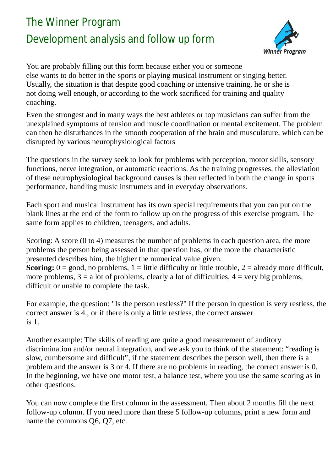## The Winner Program Development analysis and follow up form



You are probably filling out this form because either you or someone else wants to do better in the sports or playing musical instrument or singing better. Usually, the situation is that despite good coaching or intensive training, he or she is not doing well enough, or according to the work sacrificed for training and quality coaching.

Even the strongest and in many ways the best athletes or top musicians can suffer from the unexplained symptoms of tension and muscle coordination or mental excitement. The problem can then be disturbances in the smooth cooperation of the brain and musculature, which can be disrupted by various neurophysiological factors

The questions in the survey seek to look for problems with perception, motor skills, sensory functions, nerve integration, or automatic reactions. As the training progresses, the alleviation of these neurophysiological background causes is then reflected in both the change in sports performance, handling music instrumets and in everyday observations.

Each sport and musical instrument has its own special requirements that you can put on the blank lines at the end of the form to follow up on the progress of this exercise program. The same form applies to children, teenagers, and adults.

Scoring: A score (0 to 4) measures the number of problems in each question area, the more problems the person being assessed in that question has, or the more the characteristic presented describes him, the higher the numerical value given. **Scoring:**  $0 = \text{good}$ , no problems,  $1 =$  little difficulty or little trouble,  $2 =$  already more difficult, more problems,  $3 = a$  lot of problems, clearly a lot of difficulties,  $4 = \text{very big problems}$ , difficult or unable to complete the task.

For example, the question: "Is the person restless?" If the person in question is very restless, the correct answer is 4., or if there is only a little restless, the correct answer is 1.

Another example: The skills of reading are quite a good measurement of auditory discrimination and/or neural integration, and we ask you to think of the statement: "reading is slow, cumbersome and difficult", if the statement describes the person well, then there is a problem and the answer is 3 or 4. If there are no problems in reading, the correct answer is 0. In the beginning, we have one motor test, a balance test, where you use the same scoring as in other questions.

You can now complete the first column in the assessment. Then about 2 months fill the next follow-up column. If you need more than these 5 follow-up columns, print a new form and name the commons Q6, Q7, etc.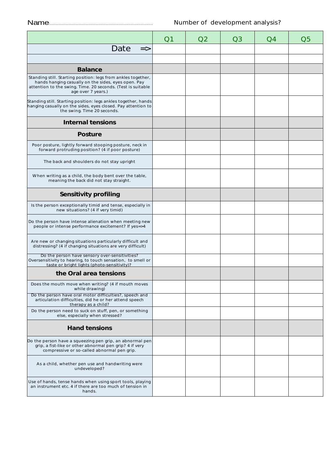|                                                                                                                                                                                                           | Q1 | Q <sub>2</sub> | Q3 | O(4) | Q5 |
|-----------------------------------------------------------------------------------------------------------------------------------------------------------------------------------------------------------|----|----------------|----|------|----|
| Date<br>$\Rightarrow$                                                                                                                                                                                     |    |                |    |      |    |
|                                                                                                                                                                                                           |    |                |    |      |    |
| <b>Balance</b>                                                                                                                                                                                            |    |                |    |      |    |
| Standing still. Starting position: legs from ankles together,<br>hands hanging casually on the sides, eyes open. Pay<br>attention to the swing. Time. 20 seconds. (Test is suitable<br>age over 7 years.) |    |                |    |      |    |
| Standing still. Starting position: legs ankles together, hands<br>hanging casually on the sides, eyes closed. Pay attention to<br>the swing. Time 20 seconds.                                             |    |                |    |      |    |
| <b>Internal tensions</b>                                                                                                                                                                                  |    |                |    |      |    |
| <b>Posture</b>                                                                                                                                                                                            |    |                |    |      |    |
| Poor posture, lightly forward stooping posture, neck in<br>forward protruding position? (4 if poor posture)                                                                                               |    |                |    |      |    |
| The back and shoulders do not stay upright                                                                                                                                                                |    |                |    |      |    |
| When writing as a child, the body bent over the table,<br>meaning the back did not stay straight.                                                                                                         |    |                |    |      |    |
| <b>Sensitivity profiling</b>                                                                                                                                                                              |    |                |    |      |    |
| Is the person exceptionally timid and tense, especially in<br>new situations? (4 if very timid)                                                                                                           |    |                |    |      |    |
| Do the person have intense alienation when meeting new<br>people or intense performance excitement? If yes=>4                                                                                             |    |                |    |      |    |
| Are new or changing situations particularly difficult and<br>distressing? (4 if changing situations are very difficult)                                                                                   |    |                |    |      |    |
| Do the person have sensory over-sensitivities?<br>Oversensitivity to hearing, to touch sensation, to smell or<br>taste or bright lights (photo-sensitivity)?                                              |    |                |    |      |    |
| the Oral area tensions                                                                                                                                                                                    |    |                |    |      |    |
| Does the mouth move when writing? (4 if mouth moves<br>while drawing)                                                                                                                                     |    |                |    |      |    |
| Do the person have oral motor difficulties?, speech and<br>articulation difficulties, did he or her attend speech<br>therapy as a child?                                                                  |    |                |    |      |    |
| Do the person need to suck on stuff, pen, or something<br>else, especially when stressed?                                                                                                                 |    |                |    |      |    |
| <b>Hand tensions</b>                                                                                                                                                                                      |    |                |    |      |    |
| Do the person have a squeezing pen grip, an abnormal pen<br>grip, a fist-like or other abnormal pen grip? 4 if very<br>compressive or so-called abnormal pen grip.                                        |    |                |    |      |    |
| As a child, whether pen use and handwriting were<br>undeveloped?                                                                                                                                          |    |                |    |      |    |
| Use of hands, tense hands when using sport tools, playing<br>an instrument etc. 4 if there are too much of tension in<br>hands.                                                                           |    |                |    |      |    |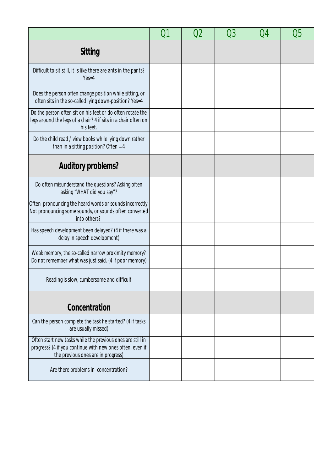|                                                                                                                                                               | 01 | 02 | Q3 | Q4 | Q5 |
|---------------------------------------------------------------------------------------------------------------------------------------------------------------|----|----|----|----|----|
| <b>Sitting</b>                                                                                                                                                |    |    |    |    |    |
| Difficult to sit still, it is like there are ants in the pants?<br>$Yes=4$                                                                                    |    |    |    |    |    |
| Does the person often change position while sitting, or<br>often sits in the so-called lying down-position? Yes=4                                             |    |    |    |    |    |
| Do the person often sit on his feet or do often rotate the<br>legs around the legs of a chair? 4 if sits in a chair often on<br>his feet.                     |    |    |    |    |    |
| Do the child read / view books while lying down rather<br>than in a sitting position? Often = $4$                                                             |    |    |    |    |    |
| <b>Auditory problems?</b>                                                                                                                                     |    |    |    |    |    |
| Do often misunderstand the questions? Asking often<br>asking "WHAT did you say"?                                                                              |    |    |    |    |    |
| Often pronouncing the heard words or sounds incorrectly.<br>Not pronouncing some sounds, or sounds often converted<br>into others?                            |    |    |    |    |    |
| Has speech development been delayed? (4 if there was a<br>delay in speech development)                                                                        |    |    |    |    |    |
| Weak memory, the so-called narrow proximity memory?<br>Do not remember what was just said. (4 if poor memory)                                                 |    |    |    |    |    |
| Reading is slow, cumbersome and difficult                                                                                                                     |    |    |    |    |    |
| Concentration                                                                                                                                                 |    |    |    |    |    |
| Can the person complete the task he started? (4 if tasks<br>are usually missed)                                                                               |    |    |    |    |    |
| Often start new tasks while the previous ones are still in<br>progress? (4 if you continue with new ones often, even if<br>the previous ones are in progress) |    |    |    |    |    |
| Are there problems in concentration?                                                                                                                          |    |    |    |    |    |